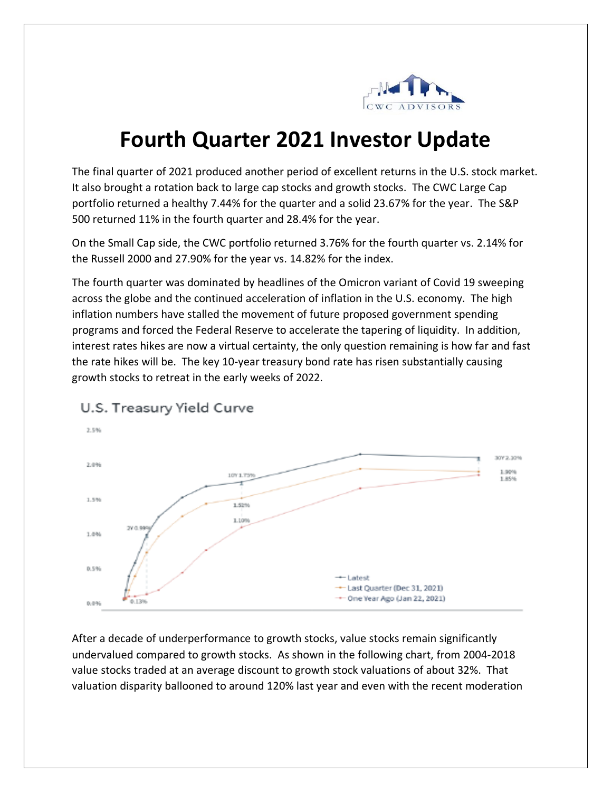

## **Fourth Quarter 2021 Investor Update**

The final quarter of 2021 produced another period of excellent returns in the U.S. stock market. It also brought a rotation back to large cap stocks and growth stocks. The CWC Large Cap portfolio returned a healthy 7.44% for the quarter and a solid 23.67% for the year. The S&P 500 returned 11% in the fourth quarter and 28.4% for the year.

On the Small Cap side, the CWC portfolio returned 3.76% for the fourth quarter vs. 2.14% for the Russell 2000 and 27.90% for the year vs. 14.82% for the index.

The fourth quarter was dominated by headlines of the Omicron variant of Covid 19 sweeping across the globe and the continued acceleration of inflation in the U.S. economy. The high inflation numbers have stalled the movement of future proposed government spending programs and forced the Federal Reserve to accelerate the tapering of liquidity. In addition, interest rates hikes are now a virtual certainty, the only question remaining is how far and fast the rate hikes will be. The key 10-year treasury bond rate has risen substantially causing growth stocks to retreat in the early weeks of 2022.



## U.S. Treasury Yield Curve

After a decade of underperformance to growth stocks, value stocks remain significantly undervalued compared to growth stocks. As shown in the following chart, from 2004-2018 value stocks traded at an average discount to growth stock valuations of about 32%. That valuation disparity ballooned to around 120% last year and even with the recent moderation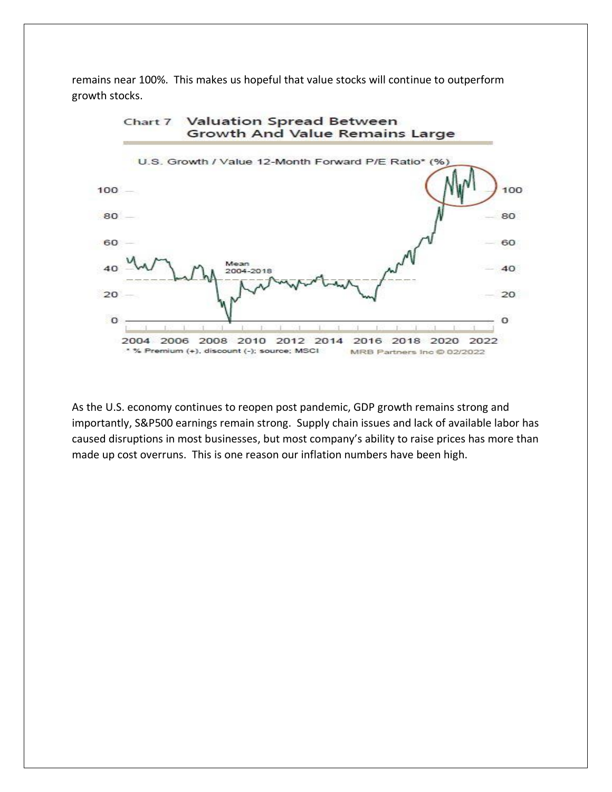remains near 100%. This makes us hopeful that value stocks will continue to outperform growth stocks.



As the U.S. economy continues to reopen post pandemic, GDP growth remains strong and importantly, S&P500 earnings remain strong. Supply chain issues and lack of available labor has caused disruptions in most businesses, but most company's ability to raise prices has more than made up cost overruns. This is one reason our inflation numbers have been high.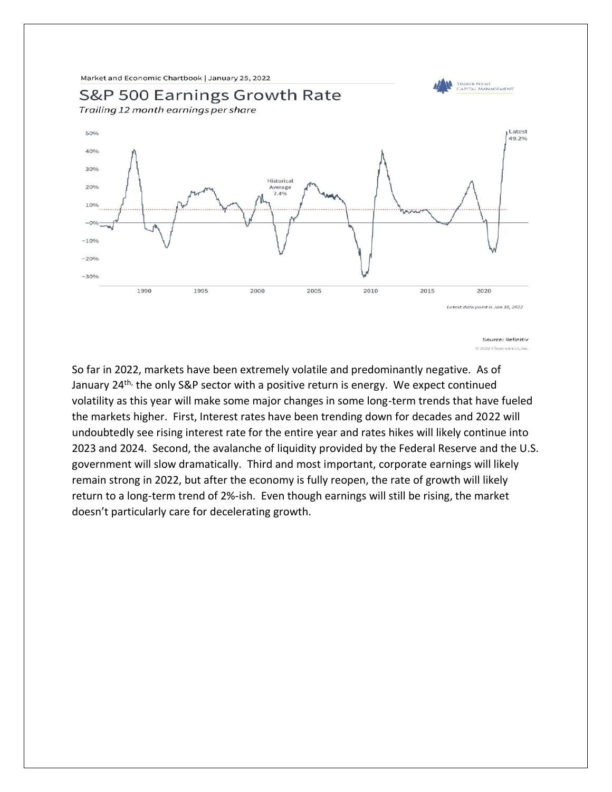Market and Economic Chartbook | January 25, 2022



So far in 2022, markets have been extremely volatile and predominantly negative. As of January 24<sup>th,</sup> the only S&P sector with a positive return is energy. We expect continued volatility as this year will make some major changes in some long-term trends that have fueled the markets higher. First, Interest rates have been trending down for decades and 2022 will undoubtedly see rising interest rate for the entire year and rates hikes will likely continue into 2023 and 2024. Second, the avalanche of liquidity provided by the Federal Reserve and the U.S. government will slow dramatically. Third and most important, corporate earnings will likely remain strong in 2022, but after the economy is fully reopen, the rate of growth will likely return to a long-term trend of 2%-ish. Even though earnings will still be rising, the market doesn't particularly care for decelerating growth.

Source: Refinitiv 0.2022 Clearnomi